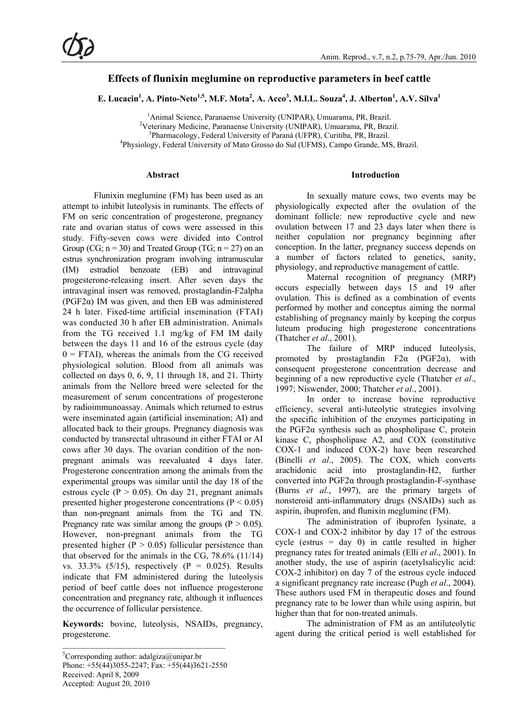# **Effects of flunixin meglumine on reproductive parameters in beef cattle**

 $\mathbf{E}.$  Lucacin<sup>1</sup>, A. Pinto-Neto<sup>1,5</sup>, M.F. Mota<sup>2</sup>, A. Acco<sup>3</sup>, M.I.L. Souza<sup>4</sup>, J. Alberton<sup>1</sup>, A.V. Silva<sup>1</sup>

<sup>1</sup>Animal Science, Paranaense University (UNIPAR), Umuarama, PR, Brazil.<br><sup>2</sup>Veterinary Medicine, Paranaense University (UNIPAR), Umuarama, PR, Braz

<sup>2</sup>Veterinary Medicine, Paranaense University (UNIPAR), Umuarama, PR, Brazil.

<sup>3</sup>Pharmacology, Federal University of Paraná (UFPR), Curitiba, PR, Brazil.

<sup>4</sup>Physiology, Federal University of Mato Grosso do Sul (UFMS), Campo Grande, MS, Brazil.

#### **Abstract**

Flunixin meglumine (FM) has been used as an attempt to inhibit luteolysis in ruminants. The effects of FM on seric concentration of progesterone, pregnancy rate and ovarian status of cows were assessed in this study. Fifty-seven cows were divided into Control Group (CG;  $n = 30$ ) and Treated Group (TG;  $n = 27$ ) on an estrus synchronization program involving intramuscular (IM) estradiol benzoate (EB) and intravaginal progesterone-releasing insert. After seven days the intravaginal insert was removed, prostaglandin-F2alpha ( $PGF2\alpha$ ) IM was given, and then EB was administered 24 h later. Fixed-time artificial insemination (FTAI) was conducted 30 h after EB administration. Animals from the TG received 1.1 mg/kg of FM IM daily between the days 11 and 16 of the estrous cycle (day  $0 = FTAI$ , whereas the animals from the CG received physiological solution. Blood from all animals was collected on days 0, 6, 9, 11 through 18, and 21. Thirty animals from the Nellore breed were selected for the measurement of serum concentrations of progesterone by radioimmunoassay. Animals which returned to estrus were inseminated again (artificial insemination; AI) and allocated back to their groups. Pregnancy diagnosis was conducted by transrectal ultrasound in either FTAI or AI cows after 30 days. The ovarian condition of the nonpregnant animals was reevaluated 4 days later. Progesterone concentration among the animals from the experimental groups was similar until the day 18 of the estrous cycle ( $P > 0.05$ ). On day 21, pregnant animals presented higher progesterone concentrations ( $P < 0.05$ ) than non-pregnant animals from the TG and TN. Pregnancy rate was similar among the groups ( $P > 0.05$ ). However, non-pregnant animals from the TG presented higher ( $P > 0.05$ ) follicular persistence than that observed for the animals in the CG, 78.6% (11/14) vs. 33.3% (5/15), respectively ( $P = 0.025$ ). Results indicate that FM administered during the luteolysis period of beef cattle does not influence progesterone concentration and pregnancy rate, although it influences the occurrence of follicular persistence.

**Keywords:** bovine, luteolysis, NSAIDs, pregnancy, progesterone.

#### **Introduction**

In sexually mature cows, two events may be physiologically expected after the ovulation of the dominant follicle: new reproductive cycle and new ovulation between 17 and 23 days later when there is neither copulation nor pregnancy beginning after conception. In the latter, pregnancy success depends on a number of factors related to genetics, sanity, physiology, and reproductive management of cattle.

Maternal recognition of pregnancy (MRP) occurs especially between days 15 and 19 after ovulation. This is defined as a combination of events performed by mother and conceptus aiming the normal establishing of pregnancy mainly by keeping the corpus luteum producing high progesterone concentrations (Thatcher *et al*., 2001).

The failure of MRP induced luteolysis, promoted by prostaglandin  $F2\alpha$  (PGF2 $\alpha$ ), with consequent progesterone concentration decrease and beginning of a new reproductive cycle (Thatcher *et al*., 1997; Niswender, 2000; Thatcher *et al*., 2001).

In order to increase bovine reproductive efficiency, several anti-luteolytic strategies involving the specific inhibition of the enzymes participating in the PGF2 $\alpha$  synthesis such as phospholipase C, protein kinase C, phospholipase A2, and COX (constitutive COX-1 and induced COX-2) have been researched (Binelli *et al*., 2005). The COX, which converts arachidonic acid into prostaglandin-H2, further converted into PGF2α through prostaglandin-F-synthase (Burns *et al*., 1997), are the primary targets of nonsteroid anti-inflammatory drugs (NSAIDs) such as aspirin, ibuprofen, and flunixin meglumine (FM).

The administration of ibuprofen lysinate, a COX-1 and COX-2 inhibitor by day 17 of the estrous cycle (estrus  $=$  day 0) in cattle resulted in higher pregnancy rates for treated animals (Elli *et al*., 2001). In another study, the use of aspirin (acetylsalicylic acid: COX-2 inhibitor) on day 7 of the estrous cycle induced a significant pregnancy rate increase (Pugh *et al*., 2004). These authors used FM in therapeutic doses and found pregnancy rate to be lower than while using aspirin, but higher than that for non-treated animals.

The administration of FM as an antiluteolytic agent during the critical period is well established for

<sup>&</sup>lt;sup>5</sup>Corresponding author: adalgiza@unipar.br Phone: +55(44)3055-2247; Fax: +55(44)3621-2550 Received: April 8, 2009 Accepted: August 20, 2010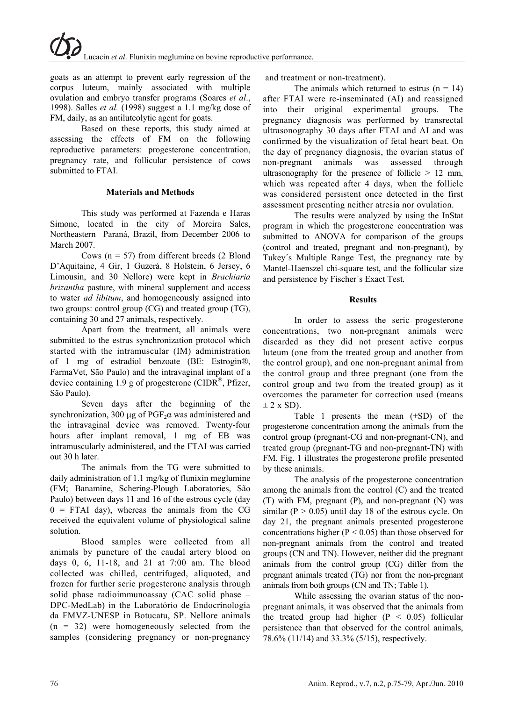goats as an attempt to prevent early regression of the corpus luteum, mainly associated with multiple ovulation and embryo transfer programs (Soares *et al*., 1998). Salles *et al.* (1998) suggest a 1.1 mg/kg dose of FM, daily, as an antiluteolytic agent for goats.

Based on these reports, this study aimed at assessing the effects of FM on the following reproductive parameters: progesterone concentration, pregnancy rate, and follicular persistence of cows submitted to FTAI.

# **Materials and Methods**

This study was performed at Fazenda e Haras Simone, located in the city of Moreira Sales, Northeastern Paraná, Brazil, from December 2006 to March 2007.

Cows ( $n = 57$ ) from different breeds (2 Blond D'Aquitaine, 4 Gir, 1 Guzerá, 8 Holstein, 6 Jersey, 6 Limousin, and 30 Nellore) were kept in *Brachiaria brizantha* pasture, with mineral supplement and access to water *ad libitum*, and homogeneously assigned into two groups: control group (CG) and treated group (TG), containing 30 and 27 animals, respectively.

Apart from the treatment, all animals were submitted to the estrus synchronization protocol which started with the intramuscular (IM) administration of 1 mg of estradiol benzoate (BE: Estrogin®, FarmaVet, São Paulo) and the intravaginal implant of a device containing 1.9 g of progesterone (CIDR®, Pfizer, São Paulo).

Seven days after the beginning of the synchronization, 300  $\mu$ g of PGF<sub>2</sub> $\alpha$  was administered and the intravaginal device was removed. Twenty-four hours after implant removal, 1 mg of EB was intramuscularly administered, and the FTAI was carried out 30 h later.

The animals from the TG were submitted to daily administration of 1.1 mg/kg of flunixin meglumine (FM; Banamine, Schering-Plough Laboratories, São Paulo) between days 11 and 16 of the estrous cycle (day  $0 = FTAI$  day), whereas the animals from the CG received the equivalent volume of physiological saline solution.

Blood samples were collected from all animals by puncture of the caudal artery blood on days 0, 6, 11-18, and 21 at 7:00 am. The blood collected was chilled, centrifuged, aliquoted, and frozen for further seric progesterone analysis through solid phase radioimmunoassay (CAC solid phase – DPC-MedLab) in the Laboratório de Endocrinologia da FMVZ-UNESP in Botucatu, SP. Nellore animals  $(n = 32)$  were homogeneously selected from the samples (considering pregnancy or non-pregnancy

and treatment or non-treatment).

The animals which returned to estrus  $(n = 14)$ after FTAI were re-inseminated (AI) and reassigned into their original experimental groups. The pregnancy diagnosis was performed by transrectal ultrasonography 30 days after FTAI and AI and was confirmed by the visualization of fetal heart beat. On the day of pregnancy diagnosis, the ovarian status of non-pregnant animals was assessed through ultrasonography for the presence of follicle  $> 12$  mm, which was repeated after 4 days, when the follicle was considered persistent once detected in the first assessment presenting neither atresia nor ovulation.

The results were analyzed by using the InStat program in which the progesterone concentration was submitted to ANOVA for comparison of the groups (control and treated, pregnant and non-pregnant), by Tukey´s Multiple Range Test, the pregnancy rate by Mantel-Haenszel chi-square test, and the follicular size and persistence by Fischer´s Exact Test.

# **Results**

In order to assess the seric progesterone concentrations, two non-pregnant animals were discarded as they did not present active corpus luteum (one from the treated group and another from the control group), and one non-pregnant animal from the control group and three pregnant (one from the control group and two from the treated group) as it overcomes the parameter for correction used (means  $\pm$  2 x SD).

Table 1 presents the mean  $(\pm SD)$  of the progesterone concentration among the animals from the control group (pregnant-CG and non-pregnant-CN), and treated group (pregnant-TG and non-pregnant-TN) with FM. Fig. 1 illustrates the progesterone profile presented by these animals.

The analysis of the progesterone concentration among the animals from the control (C) and the treated (T) with FM, pregnant (P), and non-pregnant (N) was similar ( $P > 0.05$ ) until day 18 of the estrous cycle. On day 21, the pregnant animals presented progesterone concentrations higher ( $P < 0.05$ ) than those observed for non-pregnant animals from the control and treated groups (CN and TN). However, neither did the pregnant animals from the control group (CG) differ from the pregnant animals treated (TG) nor from the non-pregnant animals from both groups (CN and TN; Table 1).

While assessing the ovarian status of the nonpregnant animals, it was observed that the animals from the treated group had higher  $(P < 0.05)$  follicular persistence than that observed for the control animals, 78.6% (11/14) and 33.3% (5/15), respectively.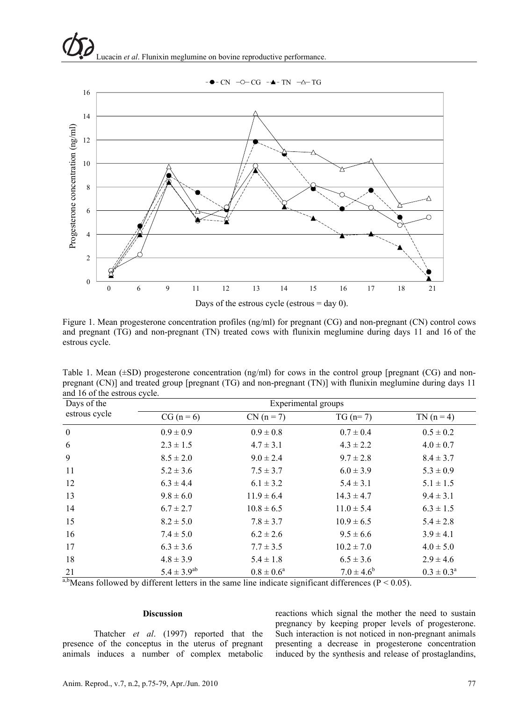

Figure 1. Mean progesterone concentration profiles (ng/ml) for pregnant (CG) and non-pregnant (CN) control cows and pregnant (TG) and non-pregnant (TN) treated cows with flunixin meglumine during days 11 and 16 of the estrous cycle.

Table 1. Mean ( $\pm$ SD) progesterone concentration (ng/ml) for cows in the control group [pregnant (CG) and nonpregnant (CN)] and treated group [pregnant (TG) and non-pregnant (TN)] with flunixin meglumine during days 11 and 16 of the estrous cycle.

| Days of the<br>estrous cycle        | Experimental groups |                 |                 |                 |
|-------------------------------------|---------------------|-----------------|-----------------|-----------------|
|                                     | $CG (n = 6)$        | $CN (n = 7)$    | $TG(n=7)$       | $TN(n=4)$       |
| $\mathbf{0}$                        | $0.9 \pm 0.9$       | $0.9 \pm 0.8$   | $0.7 \pm 0.4$   | $0.5 \pm 0.2$   |
| 6                                   | $2.3 \pm 1.5$       | $4.7 \pm 3.1$   | $4.3 \pm 2.2$   | $4.0 \pm 0.7$   |
| 9                                   | $8.5 \pm 2.0$       | $9.0 \pm 2.4$   | $9.7 \pm 2.8$   | $8.4 \pm 3.7$   |
| 11                                  | $5.2 \pm 3.6$       | $7.5 \pm 3.7$   | $6.0 \pm 3.9$   | $5.3 \pm 0.9$   |
| 12                                  | $6.3 \pm 4.4$       | $6.1 \pm 3.2$   | $5.4 \pm 3.1$   | $5.1 \pm 1.5$   |
| 13                                  | $9.8 \pm 6.0$       | $11.9 \pm 6.4$  | $14.3 \pm 4.7$  | $9.4 \pm 3.1$   |
| 14                                  | $6.7 \pm 2.7$       | $10.8 \pm 6.5$  | $11.0 \pm 5.4$  | $6.3 \pm 1.5$   |
| 15                                  | $8.2 \pm 5.0$       | $7.8 \pm 3.7$   | $10.9 \pm 6.5$  | $5.4 \pm 2.8$   |
| 16                                  | $7.4 \pm 5.0$       | $6.2 \pm 2.6$   | $9.5 \pm 6.6$   | $3.9 \pm 4.1$   |
| 17                                  | $6.3 \pm 3.6$       | $7.7 \pm 3.5$   | $10.2 \pm 7.0$  | $4.0 \pm 5.0$   |
| 18                                  | $4.8 \pm 3.9$       | $5.4 \pm 1.8$   | $6.5 \pm 3.6$   | $2.9 \pm 4.6$   |
| 21<br>$\overline{a}$ $\overline{b}$ | $5.4 \pm 3.9^{ab}$  | $0.8 \pm 0.6^a$ | $7.0 \pm 4.6^b$ | $0.3 \pm 0.3^a$ |

 $a$ ,bMeans followed by different letters in the same line indicate significant differences ( $P < 0.05$ ).

## **Discussion**

Thatcher *et al*. (1997) reported that the presence of the conceptus in the uterus of pregnant animals induces a number of complex metabolic reactions which signal the mother the need to sustain pregnancy by keeping proper levels of progesterone. Such interaction is not noticed in non-pregnant animals presenting a decrease in progesterone concentration induced by the synthesis and release of prostaglandins,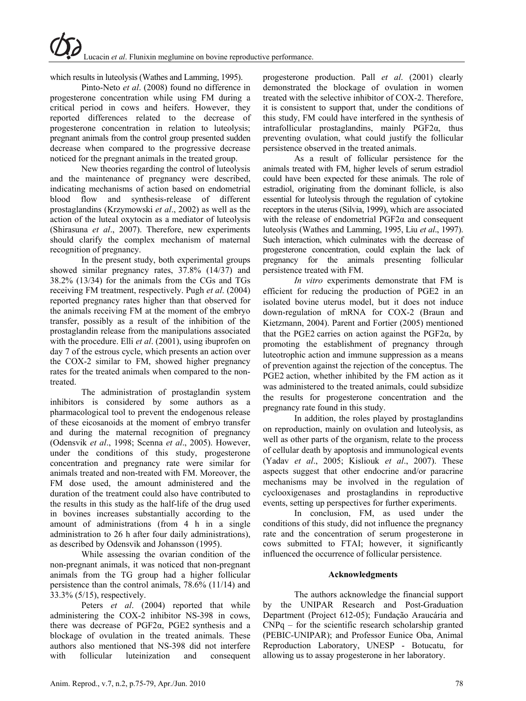which results in luteolysis (Wathes and Lamming, 1995).

Pinto-Neto *et al*. (2008) found no difference in progesterone concentration while using FM during a critical period in cows and heifers. However, they reported differences related to the decrease of progesterone concentration in relation to luteolysis; pregnant animals from the control group presented sudden decrease when compared to the progressive decrease noticed for the pregnant animals in the treated group.

New theories regarding the control of luteolysis and the maintenance of pregnancy were described, indicating mechanisms of action based on endometrial blood flow and synthesis-release of different prostaglandins (Krzymowski *et al*., 2002) as well as the action of the luteal oxytocin as a mediator of luteolysis (Shirasuna *et al*., 2007). Therefore, new experiments should clarify the complex mechanism of maternal recognition of pregnancy.

In the present study, both experimental groups showed similar pregnancy rates, 37.8% (14/37) and 38.2% (13/34) for the animals from the CGs and TGs receiving FM treatment, respectively. Pugh *et al*. (2004) reported pregnancy rates higher than that observed for the animals receiving FM at the moment of the embryo transfer, possibly as a result of the inhibition of the prostaglandin release from the manipulations associated with the procedure. Elli *et al*. (2001), using ibuprofen on day 7 of the estrous cycle, which presents an action over the COX-2 similar to FM, showed higher pregnancy rates for the treated animals when compared to the nontreated.

The administration of prostaglandin system inhibitors is considered by some authors as a pharmacological tool to prevent the endogenous release of these eicosanoids at the moment of embryo transfer and during the maternal recognition of pregnancy (Odensvik *et al*., 1998; Scenna *et al*., 2005). However, under the conditions of this study, progesterone concentration and pregnancy rate were similar for animals treated and non-treated with FM. Moreover, the FM dose used, the amount administered and the duration of the treatment could also have contributed to the results in this study as the half-life of the drug used in bovines increases substantially according to the amount of administrations (from 4 h in a single administration to 26 h after four daily administrations), as described by Odensvik and Johansson (1995).

While assessing the ovarian condition of the non-pregnant animals, it was noticed that non-pregnant animals from the TG group had a higher follicular persistence than the control animals, 78.6% (11/14) and 33.3% (5/15), respectively.

Peters *et al.* (2004) reported that while administering the COX-2 inhibitor NS-398 in cows, there was decrease of  $PGF2\alpha$ ,  $PGE2$  synthesis and a blockage of ovulation in the treated animals. These authors also mentioned that NS-398 did not interfere with follicular luteinization and consequent

progesterone production. Pall *et al*. (2001) clearly demonstrated the blockage of ovulation in women treated with the selective inhibitor of COX-2. Therefore, it is consistent to support that, under the conditions of this study, FM could have interfered in the synthesis of intrafollicular prostaglandins, mainly PGF2α, thus preventing ovulation, what could justify the follicular persistence observed in the treated animals.

As a result of follicular persistence for the animals treated with FM, higher levels of serum estradiol could have been expected for these animals. The role of estradiol, originating from the dominant follicle, is also essential for luteolysis through the regulation of cytokine receptors in the uterus (Silvia, 1999), which are associated with the release of endometrial  $PGF2\alpha$  and consequent luteolysis (Wathes and Lamming, 1995, Liu *et al*., 1997). Such interaction, which culminates with the decrease of progesterone concentration, could explain the lack of pregnancy for the animals presenting follicular persistence treated with FM.

*In vitro* experiments demonstrate that FM is efficient for reducing the production of PGE2 in an isolated bovine uterus model, but it does not induce down-regulation of mRNA for COX-2 (Braun and Kietzmann, 2004). Parent and Fortier (2005) mentioned that the PGE2 carries on action against the PGF2 $\alpha$ , by promoting the establishment of pregnancy through luteotrophic action and immune suppression as a means of prevention against the rejection of the conceptus. The PGE2 action, whether inhibited by the FM action as it was administered to the treated animals, could subsidize the results for progesterone concentration and the pregnancy rate found in this study.

In addition, the roles played by prostaglandins on reproduction, mainly on ovulation and luteolysis, as well as other parts of the organism, relate to the process of cellular death by apoptosis and immunological events (Yadav *et al*., 2005; Kisliouk *et al*., 2007). These aspects suggest that other endocrine and/or paracrine mechanisms may be involved in the regulation of cyclooxigenases and prostaglandins in reproductive events, setting up perspectives for further experiments.

In conclusion, FM, as used under the conditions of this study, did not influence the pregnancy rate and the concentration of serum progesterone in cows submitted to FTAI; however, it significantly influenced the occurrence of follicular persistence.

## **Acknowledgments**

The authors acknowledge the financial support by the UNIPAR Research and Post-Graduation Department (Project 612-05); Fundação Araucária and  $CNPq$  – for the scientific research scholarship granted (PEBIC-UNIPAR); and Professor Eunice Oba, Animal Reproduction Laboratory, UNESP - Botucatu, for allowing us to assay progesterone in her laboratory.